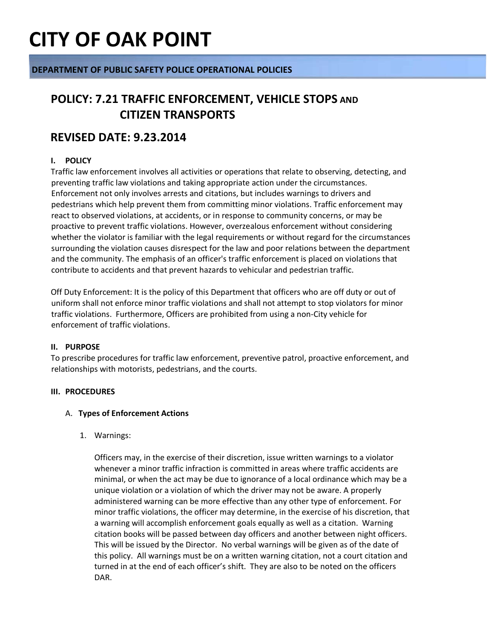### **DEPARTMENT OF PUBLIC SAFETY POLICE OPERATIONAL POLICIES**

### **POLICY: 7.21 TRAFFIC ENFORCEMENT, VEHICLE STOPS AND CITIZEN TRANSPORTS**

### **REVISED DATE: 9.23.2014**

### **I. POLICY**

Traffic law enforcement involves all activities or operations that relate to observing, detecting, and preventing traffic law violations and taking appropriate action under the circumstances. Enforcement not only involves arrests and citations, but includes warnings to drivers and pedestrians which help prevent them from committing minor violations. Traffic enforcement may react to observed violations, at accidents, or in response to community concerns, or may be proactive to prevent traffic violations. However, overzealous enforcement without considering whether the violator is familiar with the legal requirements or without regard for the circumstances surrounding the violation causes disrespect for the law and poor relations between the department and the community. The emphasis of an officer's traffic enforcement is placed on violations that contribute to accidents and that prevent hazards to vehicular and pedestrian traffic.

Off Duty Enforcement: It is the policy of this Department that officers who are off duty or out of uniform shall not enforce minor traffic violations and shall not attempt to stop violators for minor traffic violations. Furthermore, Officers are prohibited from using a non-City vehicle for enforcement of traffic violations.

### **II. PURPOSE**

To prescribe procedures for traffic law enforcement, preventive patrol, proactive enforcement, and relationships with motorists, pedestrians, and the courts.

### **III. PROCEDURES**

### A. **Types of Enforcement Actions**

1. Warnings:

Officers may, in the exercise of their discretion, issue written warnings to a violator whenever a minor traffic infraction is committed in areas where traffic accidents are minimal, or when the act may be due to ignorance of a local ordinance which may be a unique violation or a violation of which the driver may not be aware. A properly administered warning can be more effective than any other type of enforcement. For minor traffic violations, the officer may determine, in the exercise of his discretion, that a warning will accomplish enforcement goals equally as well as a citation. Warning citation books will be passed between day officers and another between night officers. This will be issued by the Director. No verbal warnings will be given as of the date of this policy. All warnings must be on a written warning citation, not a court citation and turned in at the end of each officer's shift. They are also to be noted on the officers DAR.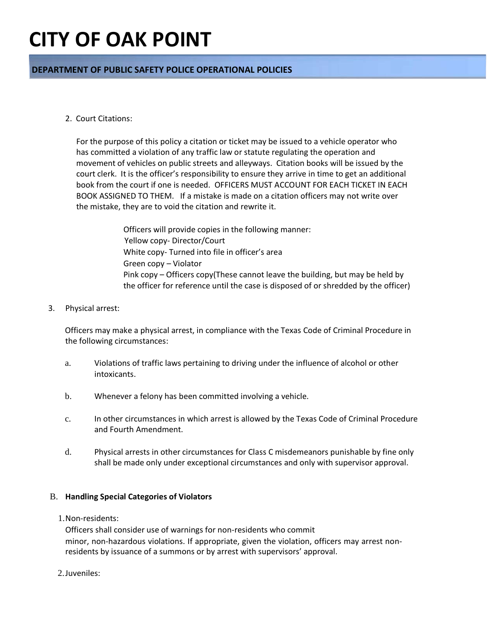### **DEPARTMENT OF PUBLIC SAFETY POLICE OPERATIONAL POLICIES**

### 2. Court Citations:

For the purpose of this policy a citation or ticket may be issued to a vehicle operator who has committed a violation of any traffic law or statute regulating the operation and movement of vehicles on public streets and alleyways. Citation books will be issued by the court clerk. It is the officer's responsibility to ensure they arrive in time to get an additional book from the court if one is needed. OFFICERS MUST ACCOUNT FOR EACH TICKET IN EACH BOOK ASSIGNED TO THEM. If a mistake is made on a citation officers may not write over the mistake, they are to void the citation and rewrite it.

> Officers will provide copies in the following manner: Yellow copy- Director/Court White copy- Turned into file in officer's area Green copy – Violator Pink copy – Officers copy(These cannot leave the building, but may be held by the officer for reference until the case is disposed of or shredded by the officer)

### 3. Physical arrest:

Officers may make a physical arrest, in compliance with the Texas Code of Criminal Procedure in the following circumstances:

- a. Violations of traffic laws pertaining to driving under the influence of alcohol or other intoxicants.
- b. Whenever a felony has been committed involving a vehicle.
- c. In other circumstances in which arrest is allowed by the Texas Code of Criminal Procedure and Fourth Amendment.
- d. Physical arrests in other circumstances for Class C misdemeanors punishable by fine only shall be made only under exceptional circumstances and only with supervisor approval.

### B. **Handling Special Categories of Violators**

1.Non-residents:

Officers shall consider use of warnings for non-residents who commit minor, non-hazardous violations. If appropriate, given the violation, officers may arrest nonresidents by issuance of a summons or by arrest with supervisors' approval.

2.Juveniles: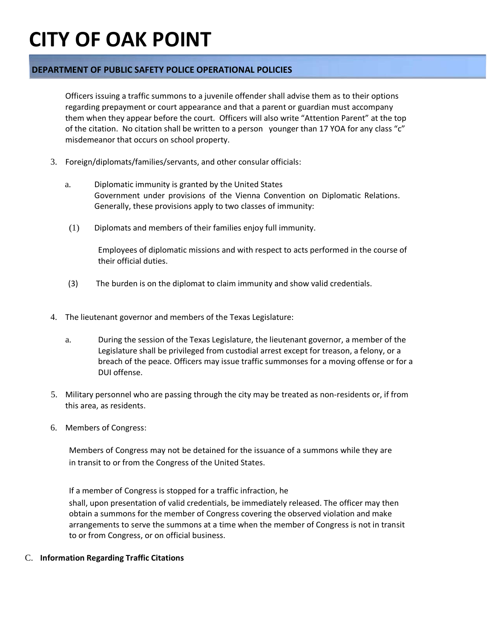### **DEPARTMENT OF PUBLIC SAFETY POLICE OPERATIONAL POLICIES**

Officers issuing a traffic summons to a juvenile offender shall advise them as to their options regarding prepayment or court appearance and that a parent or guardian must accompany them when they appear before the court. Officers will also write "Attention Parent" at the top of the citation. No citation shall be written to a person younger than 17 YOA for any class "c" misdemeanor that occurs on school property.

- 3. Foreign/diplomats/families/servants, and other consular officials:
	- a. Diplomatic immunity is granted by the United States Government under provisions of the Vienna Convention on Diplomatic Relations. Generally, these provisions apply to two classes of immunity:
	- (1) Diplomats and members of their families enjoy full immunity.

Employees of diplomatic missions and with respect to acts performed in the course of their official duties.

- (3) The burden is on the diplomat to claim immunity and show valid credentials.
- 4. The lieutenant governor and members of the Texas Legislature:
	- a. During the session of the Texas Legislature, the lieutenant governor, a member of the Legislature shall be privileged from custodial arrest except for treason, a felony, or a breach of the peace. Officers may issue traffic summonses for a moving offense or for a DUI offense.
- 5. Military personnel who are passing through the city may be treated as non-residents or, if from this area, as residents.
- 6. Members of Congress:

Members of Congress may not be detained for the issuance of a summons while they are in transit to or from the Congress of the United States.

If a member of Congress is stopped for a traffic infraction, he shall, upon presentation of valid credentials, be immediately released. The officer may then obtain a summons for the member of Congress covering the observed violation and make arrangements to serve the summons at a time when the member of Congress is not in transit to or from Congress, or on official business.

### C. **Information Regarding Traffic Citations**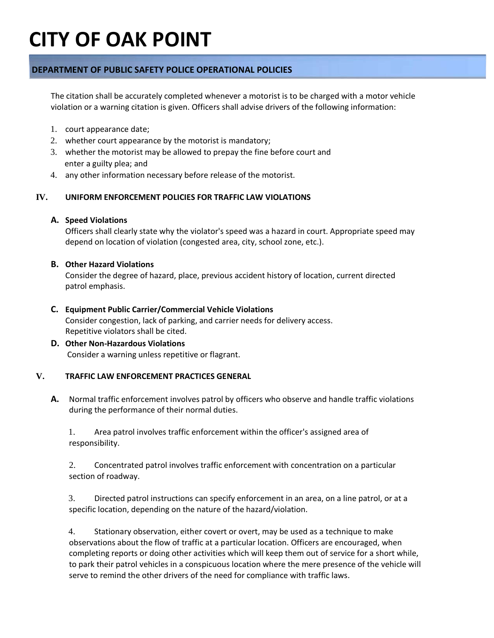### **DEPARTMENT OF PUBLIC SAFETY POLICE OPERATIONAL POLICIES**

The citation shall be accurately completed whenever a motorist is to be charged with a motor vehicle violation or a warning citation is given. Officers shall advise drivers of the following information:

- 1. court appearance date;
- 2. whether court appearance by the motorist is mandatory;
- 3. whether the motorist may be allowed to prepay the fine before court and enter a guilty plea; and
- 4. any other information necessary before release of the motorist.

### **IV. UNIFORM ENFORCEMENT POLICIES FOR TRAFFIC LAW VIOLATIONS**

### **A. Speed Violations**

Officers shall clearly state why the violator's speed was a hazard in court. Appropriate speed may depend on location of violation (congested area, city, school zone, etc.).

### **B. Other Hazard Violations**

Consider the degree of hazard, place, previous accident history of location, current directed patrol emphasis.

### **C. Equipment Public Carrier/Commercial Vehicle Violations**

Consider congestion, lack of parking, and carrier needs for delivery access. Repetitive violators shall be cited.

### **D. Other Non-Hazardous Violations** Consider a warning unless repetitive or flagrant.

### **V. TRAFFIC LAW ENFORCEMENT PRACTICES GENERAL**

**A.** Normal traffic enforcement involves patrol by officers who observe and handle traffic violations during the performance of their normal duties.

1. Area patrol involves traffic enforcement within the officer's assigned area of responsibility.

2. Concentrated patrol involves traffic enforcement with concentration on a particular section of roadway.

3. Directed patrol instructions can specify enforcement in an area, on a line patrol, or at a specific location, depending on the nature of the hazard/violation.

4. Stationary observation, either covert or overt, may be used as a technique to make observations about the flow of traffic at a particular location. Officers are encouraged, when completing reports or doing other activities which will keep them out of service for a short while, to park their patrol vehicles in a conspicuous location where the mere presence of the vehicle will serve to remind the other drivers of the need for compliance with traffic laws.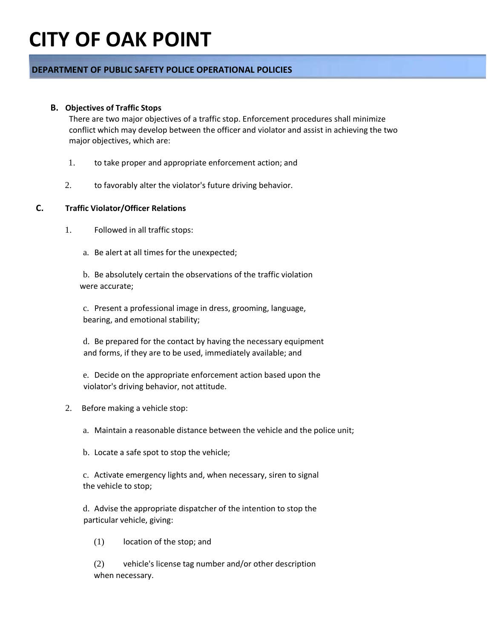### **DEPARTMENT OF PUBLIC SAFETY POLICE OPERATIONAL POLICIES**

### **B. Objectives of Traffic Stops**

There are two major objectives of a traffic stop. Enforcement procedures shall minimize conflict which may develop between the officer and violator and assist in achieving the two major objectives, which are:

- 1. to take proper and appropriate enforcement action; and
- 2. to favorably alter the violator's future driving behavior.

### **C. Traffic Violator/Officer Relations**

- 1. Followed in all traffic stops:
	- a. Be alert at all times for the unexpected;

b. Be absolutely certain the observations of the traffic violation were accurate;

c. Present a professional image in dress, grooming, language, bearing, and emotional stability;

d. Be prepared for the contact by having the necessary equipment and forms, if they are to be used, immediately available; and

e. Decide on the appropriate enforcement action based upon the violator's driving behavior, not attitude.

- 2. Before making a vehicle stop:
	- a. Maintain a reasonable distance between the vehicle and the police unit;
	- b. Locate a safe spot to stop the vehicle;

c. Activate emergency lights and, when necessary, siren to signal the vehicle to stop;

d. Advise the appropriate dispatcher of the intention to stop the particular vehicle, giving:

(1) location of the stop; and

(2) vehicle's license tag number and/or other description when necessary.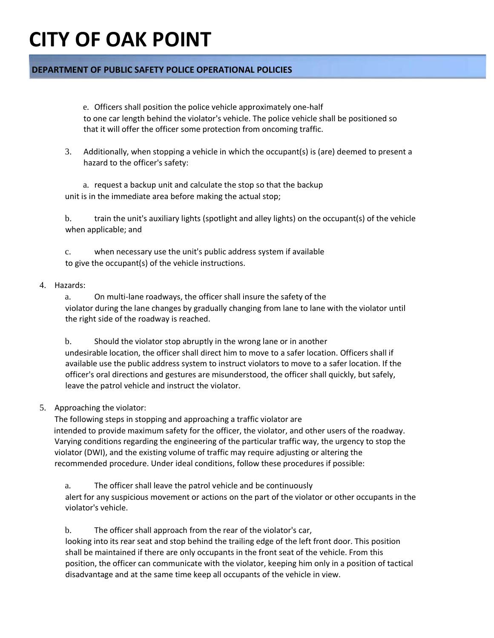### **DEPARTMENT OF PUBLIC SAFETY POLICE OPERATIONAL POLICIES**

e. Officers shall position the police vehicle approximately one-half to one car length behind the violator's vehicle. The police vehicle shall be positioned so that it will offer the officer some protection from oncoming traffic.

3. Additionally, when stopping a vehicle in which the occupant(s) is (are) deemed to present a hazard to the officer's safety:

a. request a backup unit and calculate the stop so that the backup unit is in the immediate area before making the actual stop;

b. train the unit's auxiliary lights (spotlight and alley lights) on the occupant(s) of the vehicle when applicable; and

c. when necessary use the unit's public address system if available to give the occupant(s) of the vehicle instructions.

### 4. Hazards:

a. On multi-lane roadways, the officer shall insure the safety of the violator during the lane changes by gradually changing from lane to lane with the violator until the right side of the roadway is reached.

b. Should the violator stop abruptly in the wrong lane or in another undesirable location, the officer shall direct him to move to a safer location. Officers shall if available use the public address system to instruct violators to move to a safer location. If the officer's oral directions and gestures are misunderstood, the officer shall quickly, but safely, leave the patrol vehicle and instruct the violator.

### 5. Approaching the violator:

The following steps in stopping and approaching a traffic violator are intended to provide maximum safety for the officer, the violator, and other users of the roadway. Varying conditions regarding the engineering of the particular traffic way, the urgency to stop the violator (DWI), and the existing volume of traffic may require adjusting or altering the recommended procedure. Under ideal conditions, follow these procedures if possible:

a. The officer shall leave the patrol vehicle and be continuously alert for any suspicious movement or actions on the part of the violator or other occupants in the violator's vehicle.

b. The officer shall approach from the rear of the violator's car, looking into its rear seat and stop behind the trailing edge of the left front door. This position shall be maintained if there are only occupants in the front seat of the vehicle. From this position, the officer can communicate with the violator, keeping him only in a position of tactical disadvantage and at the same time keep all occupants of the vehicle in view.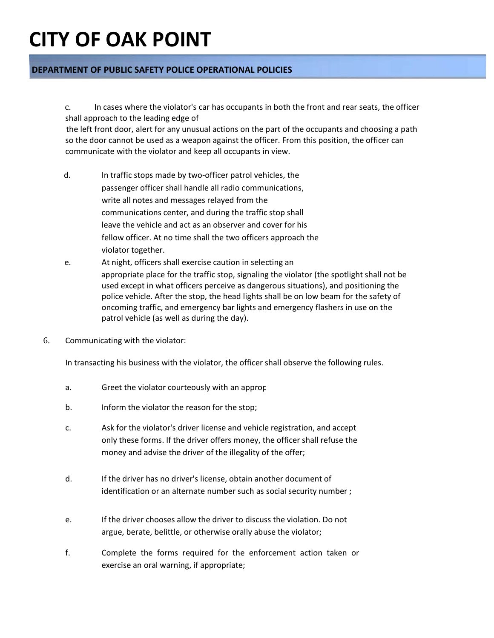### **DEPARTMENT OF PUBLIC SAFETY POLICE OPERATIONAL POLICIES**

c. In cases where the violator's car has occupants in both the front and rear seats, the officer shall approach to the leading edge of

 the left front door, alert for any unusual actions on the part of the occupants and choosing a path so the door cannot be used as a weapon against the officer. From this position, the officer can communicate with the violator and keep all occupants in view.

- d. In traffic stops made by two-officer patrol vehicles, the passenger officer shall handle all radio communications, write all notes and messages relayed from the communications center, and during the traffic stop shall leave the vehicle and act as an observer and cover for his fellow officer. At no time shall the two officers approach the violator together.
- e. At night, officers shall exercise caution in selecting an appropriate place for the traffic stop, signaling the violator (the spotlight shall not be used except in what officers perceive as dangerous situations), and positioning the police vehicle. After the stop, the head lights shall be on low beam for the safety of oncoming traffic, and emergency bar lights and emergency flashers in use on the patrol vehicle (as well as during the day).
- 6. Communicating with the violator:

In transacting his business with the violator, the officer shall observe the following rules.

- a. Greet the violator courteously with an approp
- b. Inform the violator the reason for the stop;
- c. Ask for the violator's driver license and vehicle registration, and accept only these forms. If the driver offers money, the officer shall refuse the money and advise the driver of the illegality of the offer;
- d. If the driver has no driver's license, obtain another document of identification or an alternate number such as social security number ;
- e. If the driver chooses allow the driver to discuss the violation. Do not argue, berate, belittle, or otherwise orally abuse the violator;
- f. Complete the forms required for the enforcement action taken or exercise an oral warning, if appropriate;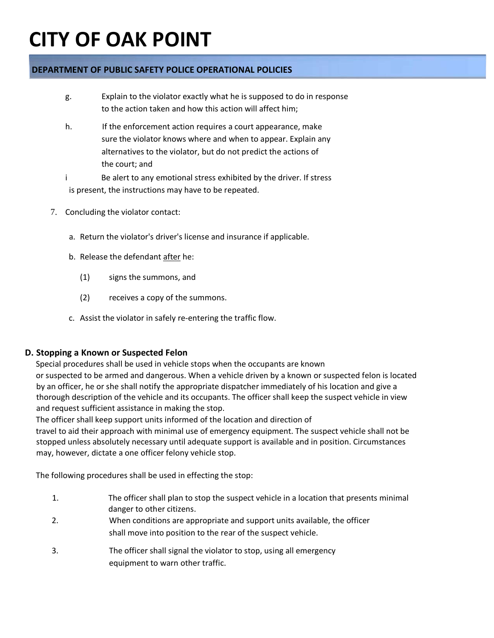### **DEPARTMENT OF PUBLIC SAFETY POLICE OPERATIONAL POLICIES**

- g. Explain to the violator exactly what he is supposed to do in response to the action taken and how this action will affect him;
- h. If the enforcement action requires a court appearance, make sure the violator knows where and when to appear. Explain any alternatives to the violator, but do not predict the actions of the court; and
- i Be alert to any emotional stress exhibited by the driver. If stress is present, the instructions may have to be repeated.
- 7. Concluding the violator contact:
	- a. Return the violator's driver's license and insurance if applicable.
	- b. Release the defendant after he:
		- (1) signs the summons, and
		- (2) receives a copy of the summons.
	- c. Assist the violator in safely re-entering the traffic flow.

### **D. Stopping a Known or Suspected Felon**

Special procedures shall be used in vehicle stops when the occupants are known

or suspected to be armed and dangerous. When a vehicle driven by a known or suspected felon is located by an officer, he or she shall notify the appropriate dispatcher immediately of his location and give a thorough description of the vehicle and its occupants. The officer shall keep the suspect vehicle in view and request sufficient assistance in making the stop.

The officer shall keep support units informed of the location and direction of

travel to aid their approach with minimal use of emergency equipment. The suspect vehicle shall not be stopped unless absolutely necessary until adequate support is available and in position. Circumstances may, however, dictate a one officer felony vehicle stop.

The following procedures shall be used in effecting the stop:

- 1. The officer shall plan to stop the suspect vehicle in a location that presents minimal danger to other citizens.
- 2. When conditions are appropriate and support units available, the officer shall move into position to the rear of the suspect vehicle.
- 3. The officer shall signal the violator to stop, using all emergency equipment to warn other traffic.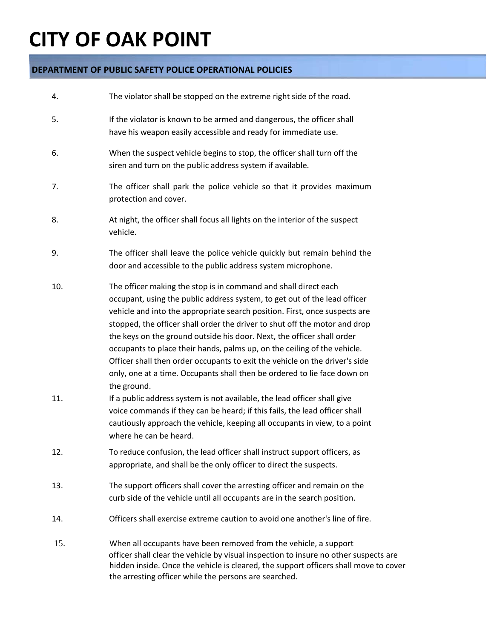### **DEPARTMENT OF PUBLIC SAFETY POLICE OPERATIONAL POLICIES**

| 4.         | The violator shall be stopped on the extreme right side of the road.                                                                                                                                                                                                                                                                                                                                                                                                                                                                                                                                                                                                                                                                                                                               |
|------------|----------------------------------------------------------------------------------------------------------------------------------------------------------------------------------------------------------------------------------------------------------------------------------------------------------------------------------------------------------------------------------------------------------------------------------------------------------------------------------------------------------------------------------------------------------------------------------------------------------------------------------------------------------------------------------------------------------------------------------------------------------------------------------------------------|
| 5.         | If the violator is known to be armed and dangerous, the officer shall<br>have his weapon easily accessible and ready for immediate use.                                                                                                                                                                                                                                                                                                                                                                                                                                                                                                                                                                                                                                                            |
| 6.         | When the suspect vehicle begins to stop, the officer shall turn off the<br>siren and turn on the public address system if available.                                                                                                                                                                                                                                                                                                                                                                                                                                                                                                                                                                                                                                                               |
| 7.         | The officer shall park the police vehicle so that it provides maximum<br>protection and cover.                                                                                                                                                                                                                                                                                                                                                                                                                                                                                                                                                                                                                                                                                                     |
| 8.         | At night, the officer shall focus all lights on the interior of the suspect<br>vehicle.                                                                                                                                                                                                                                                                                                                                                                                                                                                                                                                                                                                                                                                                                                            |
| 9.         | The officer shall leave the police vehicle quickly but remain behind the<br>door and accessible to the public address system microphone.                                                                                                                                                                                                                                                                                                                                                                                                                                                                                                                                                                                                                                                           |
| 10.<br>11. | The officer making the stop is in command and shall direct each<br>occupant, using the public address system, to get out of the lead officer<br>vehicle and into the appropriate search position. First, once suspects are<br>stopped, the officer shall order the driver to shut off the motor and drop<br>the keys on the ground outside his door. Next, the officer shall order<br>occupants to place their hands, palms up, on the ceiling of the vehicle.<br>Officer shall then order occupants to exit the vehicle on the driver's side<br>only, one at a time. Occupants shall then be ordered to lie face down on<br>the ground.<br>If a public address system is not available, the lead officer shall give<br>voice commands if they can be heard; if this fails, the lead officer shall |
|            | cautiously approach the vehicle, keeping all occupants in view, to a point<br>where he can be heard.                                                                                                                                                                                                                                                                                                                                                                                                                                                                                                                                                                                                                                                                                               |
| 12.        | To reduce confusion, the lead officer shall instruct support officers, as<br>appropriate, and shall be the only officer to direct the suspects.                                                                                                                                                                                                                                                                                                                                                                                                                                                                                                                                                                                                                                                    |
| 13.        | The support officers shall cover the arresting officer and remain on the<br>curb side of the vehicle until all occupants are in the search position.                                                                                                                                                                                                                                                                                                                                                                                                                                                                                                                                                                                                                                               |
| 14.        | Officers shall exercise extreme caution to avoid one another's line of fire.                                                                                                                                                                                                                                                                                                                                                                                                                                                                                                                                                                                                                                                                                                                       |
| 15.        | When all occupants have been removed from the vehicle, a support<br>officer shall clear the vehicle by visual inspection to insure no other suspects are<br>hidden inside. Once the vehicle is cleared, the support officers shall move to cover<br>the arresting officer while the persons are searched.                                                                                                                                                                                                                                                                                                                                                                                                                                                                                          |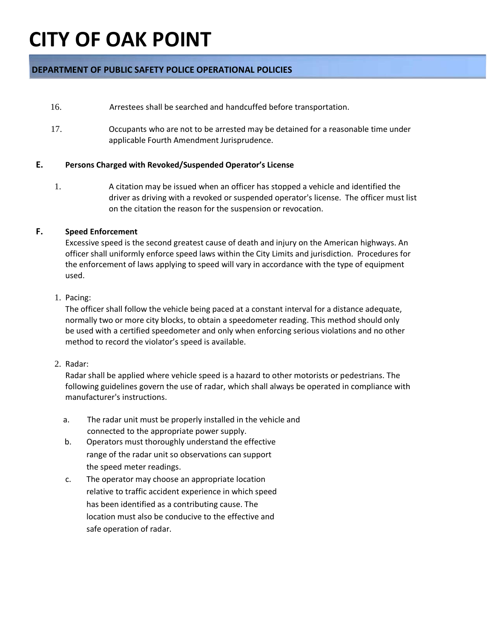### **DEPARTMENT OF PUBLIC SAFETY POLICE OPERATIONAL POLICIES**

- 16. Arrestees shall be searched and handcuffed before transportation.
- 17. Occupants who are not to be arrested may be detained for a reasonable time under applicable Fourth Amendment Jurisprudence.

### **E. Persons Charged with Revoked/Suspended Operator's License**

1. A citation may be issued when an officer has stopped a vehicle and identified the driver as driving with a revoked or suspended operator's license. The officer must list on the citation the reason for the suspension or revocation.

### **F. Speed Enforcement**

Excessive speed is the second greatest cause of death and injury on the American highways. An officer shall uniformly enforce speed laws within the City Limits and jurisdiction. Procedures for the enforcement of laws applying to speed will vary in accordance with the type of equipment used.

### 1. Pacing:

The officer shall follow the vehicle being paced at a constant interval for a distance adequate, normally two or more city blocks, to obtain a speedometer reading. This method should only be used with a certified speedometer and only when enforcing serious violations and no other method to record the violator's speed is available.

### 2. Radar:

Radar shall be applied where vehicle speed is a hazard to other motorists or pedestrians. The following guidelines govern the use of radar, which shall always be operated in compliance with manufacturer's instructions.

- a. The radar unit must be properly installed in the vehicle and connected to the appropriate power supply.
- b. Operators must thoroughly understand the effective range of the radar unit so observations can support the speed meter readings.
- c. The operator may choose an appropriate location relative to traffic accident experience in which speed has been identified as a contributing cause. The location must also be conducive to the effective and safe operation of radar.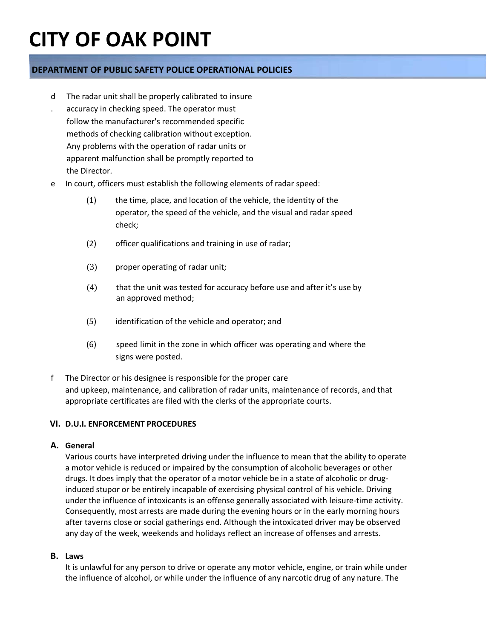### **DEPARTMENT OF PUBLIC SAFETY POLICE OPERATIONAL POLICIES**

- d The radar unit shall be properly calibrated to insure
- . accuracy in checking speed. The operator must follow the manufacturer's recommended specific methods of checking calibration without exception. Any problems with the operation of radar units or apparent malfunction shall be promptly reported to the Director.
- e In court, officers must establish the following elements of radar speed:
	- (1) the time, place, and location of the vehicle, the identity of the operator, the speed of the vehicle, and the visual and radar speed check;
	- (2) officer qualifications and training in use of radar;
	- (3) proper operating of radar unit;
	- (4) that the unit was tested for accuracy before use and after it's use by an approved method;
	- (5) identification of the vehicle and operator; and
	- (6) speed limit in the zone in which officer was operating and where the signs were posted.
- f The Director or his designee is responsible for the proper care and upkeep, maintenance, and calibration of radar units, maintenance of records, and that appropriate certificates are filed with the clerks of the appropriate courts.

### **VI. D.U.I. ENFORCEMENT PROCEDURES**

### **A. General**

Various courts have interpreted driving under the influence to mean that the ability to operate a motor vehicle is reduced or impaired by the consumption of alcoholic beverages or other drugs. It does imply that the operator of a motor vehicle be in a state of alcoholic or druginduced stupor or be entirely incapable of exercising physical control of his vehicle. Driving under the influence of intoxicants is an offense generally associated with leisure-time activity. Consequently, most arrests are made during the evening hours or in the early morning hours after taverns close or social gatherings end. Although the intoxicated driver may be observed any day of the week, weekends and holidays reflect an increase of offenses and arrests.

### **B. Laws**

It is unlawful for any person to drive or operate any motor vehicle, engine, or train while under the influence of alcohol, or while under the influence of any narcotic drug of any nature. The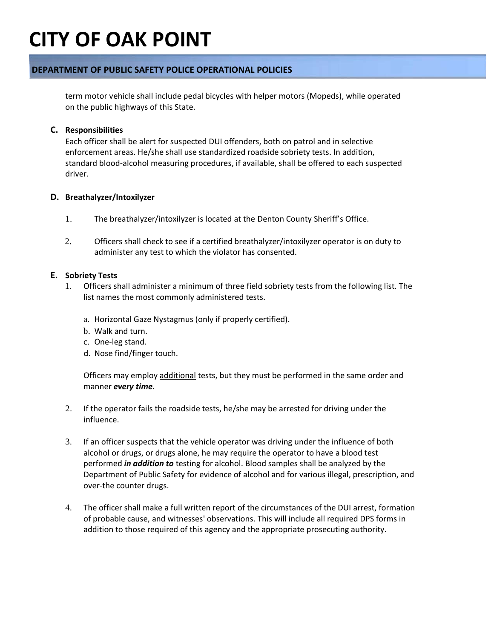### **DEPARTMENT OF PUBLIC SAFETY POLICE OPERATIONAL POLICIES**

term motor vehicle shall include pedal bicycles with helper motors (Mopeds), while operated on the public highways of this State.

### **C. Responsibilities**

Each officer shall be alert for suspected DUI offenders, both on patrol and in selective enforcement areas. He/she shall use standardized roadside sobriety tests. In addition, standard blood-alcohol measuring procedures, if available, shall be offered to each suspected driver.

### **D. Breathalyzer/Intoxilyzer**

- 1. The breathalyzer/intoxilyzer is located at the Denton County Sheriff's Office.
- 2. Officers shall check to see if a certified breathalyzer/intoxilyzer operator is on duty to administer any test to which the violator has consented.

### **E. Sobriety Tests**

- 1. Officers shall administer a minimum of three field sobriety tests from the following list. The list names the most commonly administered tests.
	- a. Horizontal Gaze Nystagmus (only if properly certified).
	- b. Walk and turn.
	- c. One-leg stand.
	- d. Nose find/finger touch.

Officers may employ additional tests, but they must be performed in the same order and manner *every time.*

- 2. If the operator fails the roadside tests, he/she may be arrested for driving under the influence.
- 3. If an officer suspects that the vehicle operator was driving under the influence of both alcohol or drugs, or drugs alone, he may require the operator to have a blood test performed *in addition to* testing for alcohol. Blood samples shall be analyzed by the Department of Public Safety for evidence of alcohol and for various illegal, prescription, and over-the counter drugs.
- 4. The officer shall make a full written report of the circumstances of the DUI arrest, formation of probable cause, and witnesses' observations. This will include all required DPS forms in addition to those required of this agency and the appropriate prosecuting authority.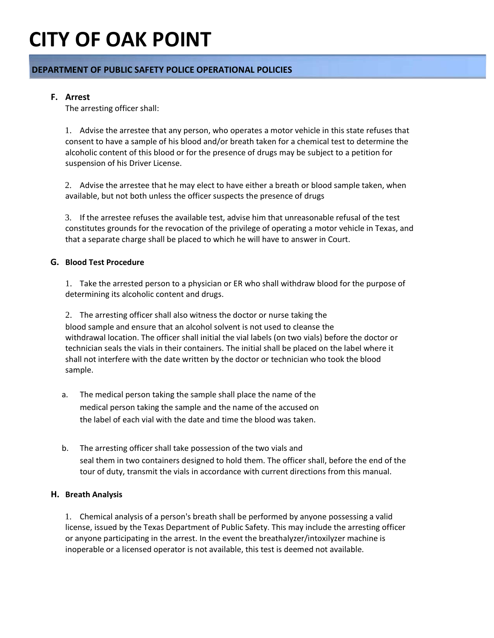### **DEPARTMENT OF PUBLIC SAFETY POLICE OPERATIONAL POLICIES**

### **F. Arrest**

The arresting officer shall:

1. Advise the arrestee that any person, who operates a motor vehicle in this state refuses that consent to have a sample of his blood and/or breath taken for a chemical test to determine the alcoholic content of this blood or for the presence of drugs may be subject to a petition for suspension of his Driver License.

2. Advise the arrestee that he may elect to have either a breath or blood sample taken, when available, but not both unless the officer suspects the presence of drugs

3. If the arrestee refuses the available test, advise him that unreasonable refusal of the test constitutes grounds for the revocation of the privilege of operating a motor vehicle in Texas, and that a separate charge shall be placed to which he will have to answer in Court.

### **G. Blood Test Procedure**

1. Take the arrested person to a physician or ER who shall withdraw blood for the purpose of determining its alcoholic content and drugs.

2. The arresting officer shall also witness the doctor or nurse taking the blood sample and ensure that an alcohol solvent is not used to cleanse the withdrawal location. The officer shall initial the vial labels (on two vials) before the doctor or technician seals the vials in their containers. The initial shall be placed on the label where it shall not interfere with the date written by the doctor or technician who took the blood sample.

- a. The medical person taking the sample shall place the name of the medical person taking the sample and the name of the accused on the label of each vial with the date and time the blood was taken.
- b. The arresting officer shall take possession of the two vials and seal them in two containers designed to hold them. The officer shall, before the end of the tour of duty, transmit the vials in accordance with current directions from this manual.

### **H. Breath Analysis**

1. Chemical analysis of a person's breath shall be performed by anyone possessing a valid license, issued by the Texas Department of Public Safety. This may include the arresting officer or anyone participating in the arrest. In the event the breathalyzer/intoxilyzer machine is inoperable or a licensed operator is not available, this test is deemed not available.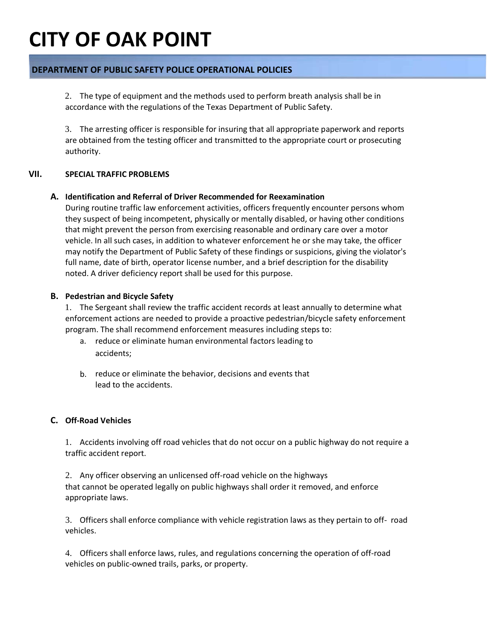### **DEPARTMENT OF PUBLIC SAFETY POLICE OPERATIONAL POLICIES**

2. The type of equipment and the methods used to perform breath analysis shall be in accordance with the regulations of the Texas Department of Public Safety.

3. The arresting officer is responsible for insuring that all appropriate paperwork and reports are obtained from the testing officer and transmitted to the appropriate court or prosecuting authority.

### **VII. SPECIAL TRAFFIC PROBLEMS**

### **A. Identification and Referral of Driver Recommended for Reexamination**

During routine traffic law enforcement activities, officers frequently encounter persons whom they suspect of being incompetent, physically or mentally disabled, or having other conditions that might prevent the person from exercising reasonable and ordinary care over a motor vehicle. In all such cases, in addition to whatever enforcement he or she may take, the officer may notify the Department of Public Safety of these findings or suspicions, giving the violator's full name, date of birth, operator license number, and a brief description for the disability noted. A driver deficiency report shall be used for this purpose.

### **B. Pedestrian and Bicycle Safety**

1. The Sergeant shall review the traffic accident records at least annually to determine what enforcement actions are needed to provide a proactive pedestrian/bicycle safety enforcement program. The shall recommend enforcement measures including steps to:

- a. reduce or eliminate human environmental factors leading to accidents;
- b. reduce or eliminate the behavior, decisions and events that lead to the accidents.

### **C. Off-Road Vehicles**

1. Accidents involving off road vehicles that do not occur on a public highway do not require a traffic accident report.

2. Any officer observing an unlicensed off-road vehicle on the highways that cannot be operated legally on public highways shall order it removed, and enforce appropriate laws.

3. Officers shall enforce compliance with vehicle registration laws as they pertain to off- road vehicles.

4. Officers shall enforce laws, rules, and regulations concerning the operation of off-road vehicles on public-owned trails, parks, or property.